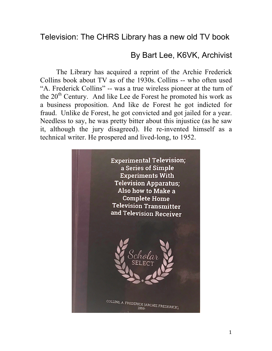By Bart Lee, K6VK, Archivist

The Library has acquired a reprint of the Archie Frederick Collins book about TV as of the 1930s. Collins -- who often used "A. Frederick Collins" -- was a true wireless pioneer at the turn of the  $20<sup>th</sup>$  Century. And like Lee de Forest he promoted his work as a business proposition. And like de Forest he got indicted for fraud. Unlike de Forest, he got convicted and got jailed for a year. Needless to say, he was pretty bitter about this injustice (as he saw it, although the jury disagreed). He re-invented himself as a technical writer. He prospered and lived-long, to 1952.